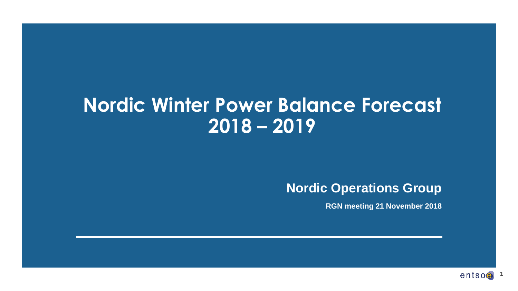# **Nordic Winter Power Balance Forecast 2018 – 2019**

### **Nordic Operations Group**

**RGN meeting 21 November 2018**

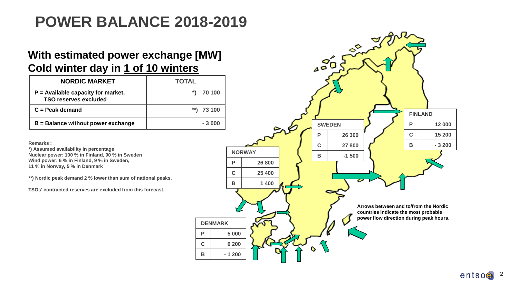# **POWER BALANCE 2018-2019**

### **With estimated power exchange [MW] Cold winter day in 1 of 10 winters**

| <b>NORDIC MARKET</b>                                                 | <b>TOTAL</b> |
|----------------------------------------------------------------------|--------------|
| $P =$ Available capacity for market,<br><b>TSO reserves excluded</b> | $*)$ 70 100  |
| $C =$ Peak demand                                                    | **) 73 100   |
| $B =$ Balance without power exchange                                 | $-3000$      |

**Remarks :**

**\*) Assumed availability in percentage Nuclear power: 100 % in Finland, 90 % in Sweden Wind power: 6 % in Finland, 9 % in Sweden, 11 % in Norway, 5 % in Denmark**

**\*\*) Nordic peak demand 2 % lower than sum of national peaks.** 

**TSOs' contracted reserves are excluded from this forecast.**

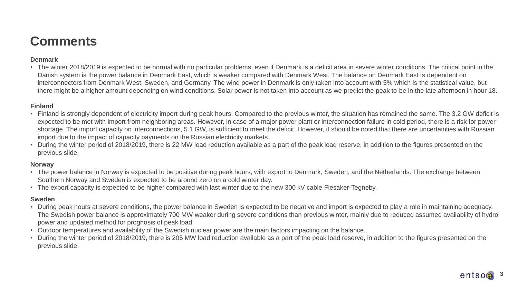## **Comments**

#### **Denmark**

• The winter 2018/2019 is expected to be normal with no particular problems, even if Denmark is a deficit area in severe winter conditions. The critical point in the Danish system is the power balance in Denmark East, which is weaker compared with Denmark West. The balance on Denmark East is dependent on interconnectors from Denmark West, Sweden, and Germany. The wind power in Denmark is only taken into account with 5% which is the statistical value, but there might be a higher amount depending on wind conditions. Solar power is not taken into account as we predict the peak to be in the late afternoon in hour 18.

#### **Finland**

- Finland is strongly dependent of electricity import during peak hours. Compared to the previous winter, the situation has remained the same. The 3.2 GW deficit is expected to be met with import from neighboring areas. However, in case of a major power plant or interconnection failure in cold period, there is a risk for power shortage. The import capacity on interconnections, 5.1 GW, is sufficient to meet the deficit. However, it should be noted that there are uncertainties with Russian import due to the impact of capacity payments on the Russian electricity markets.
- During the winter period of 2018/2019, there is 22 MW load reduction available as a part of the peak load reserve, in addition to the figures presented on the previous slide.

#### **Norway**

- The power balance in Norway is expected to be positive during peak hours, with export to Denmark, Sweden, and the Netherlands. The exchange between Southern Norway and Sweden is expected to be around zero on a cold winter day.
- The export capacity is expected to be higher compared with last winter due to the new 300 kV cable Flesaker-Tegneby.

#### **Sweden**

- During peak hours at severe conditions, the power balance in Sweden is expected to be negative and import is expected to play a role in maintaining adequacy. The Swedish power balance is approximately 700 MW weaker during severe conditions than previous winter, mainly due to reduced assumed availability of hydro power and updated method for prognosis of peak load.
- Outdoor temperatures and availability of the Swedish nuclear power are the main factors impacting on the balance.
- During the winter period of 2018/2019, there is 205 MW load reduction available as a part of the peak load reserve, in addition to the figures presented on the previous slide.

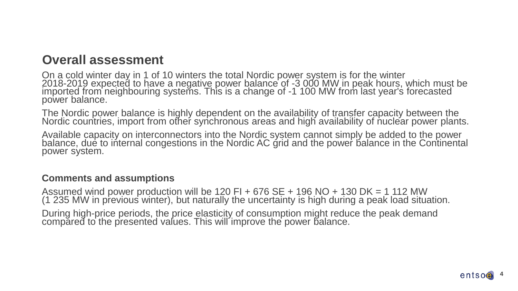### **Overall assessment**

On a cold winter day in 1 of 10 winters the total Nordic power system is for the winter 2018-2019 expected to have a negative power balance of -3 000 MW in peak hours, which must be imported from neighbouring systems. This is a change of -1 100 MW from last year's forecasted power balance.

The Nordic power balance is highly dependent on the availability of transfer capacity between the Nordic countries, import from other synchronous areas and high availability of nuclear power plants.

Available capacity on interconnectors into the Nordic system cannot simply be added to the power balance, due to internal congestions in the Nordic AC grid and the power balance in the Continental power system.

### **Comments and assumptions**

Assumed wind power production will be 120 FI + 676 SE + 196 NO + 130 DK = 1 112 MW (1 235 MW in previous winter), but naturally the uncertainty is high during a peak load situation.

During high-price periods, the price elasticity of consumption might reduce the peak demand compared to the presented values. This will improve the power balance.